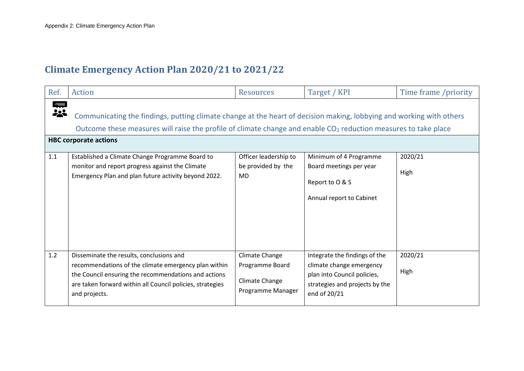## **Climate Emergency Action Plan 2020/21 to 2021/22**

| Ref. | Action                                                                                                                                                                                                                                                                              | <b>Resources</b>                                                         | Target / KPI                                                                                                                               | Time frame /priority |  |  |
|------|-------------------------------------------------------------------------------------------------------------------------------------------------------------------------------------------------------------------------------------------------------------------------------------|--------------------------------------------------------------------------|--------------------------------------------------------------------------------------------------------------------------------------------|----------------------|--|--|
| 宗ぷ   | Communicating the findings, putting climate change at the heart of decision making, lobbying and working with others<br>Outcome these measures will raise the profile of climate change and enable CO <sub>2</sub> reduction measures to take place<br><b>HBC corporate actions</b> |                                                                          |                                                                                                                                            |                      |  |  |
| 1.1  | Established a Climate Change Programme Board to                                                                                                                                                                                                                                     | Officer leadership to                                                    | Minimum of 4 Programme                                                                                                                     | 2020/21              |  |  |
|      | monitor and report progress against the Climate<br>Emergency Plan and plan future activity beyond 2022.                                                                                                                                                                             | be provided by the<br>MD                                                 | Board meetings per year<br>Report to O & S<br>Annual report to Cabinet                                                                     | High                 |  |  |
| 1.2  | Disseminate the results, conclusions and<br>recommendations of the climate emergency plan within<br>the Council ensuring the recommendations and actions<br>are taken forward within all Council policies, strategies<br>and projects.                                              | Climate Change<br>Programme Board<br>Climate Change<br>Programme Manager | Integrate the findings of the<br>climate change emergency<br>plan into Council policies,<br>strategies and projects by the<br>end of 20/21 | 2020/21<br>High      |  |  |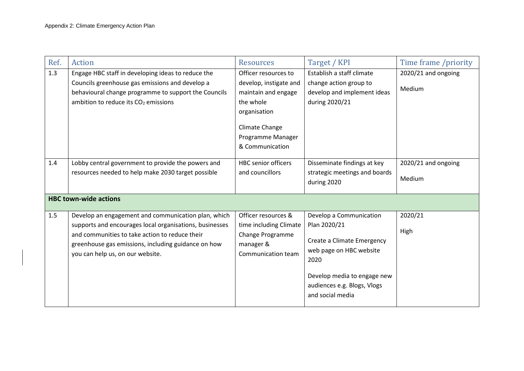| Ref. | <b>Action</b>                                                                                                                                                                                                                                               | <b>Resources</b>                                                                                                                                             | Target / KPI                                                                                                                                                                               | Time frame /priority          |
|------|-------------------------------------------------------------------------------------------------------------------------------------------------------------------------------------------------------------------------------------------------------------|--------------------------------------------------------------------------------------------------------------------------------------------------------------|--------------------------------------------------------------------------------------------------------------------------------------------------------------------------------------------|-------------------------------|
| 1.3  | Engage HBC staff in developing ideas to reduce the<br>Councils greenhouse gas emissions and develop a<br>behavioural change programme to support the Councils<br>ambition to reduce its $CO2$ emissions                                                     | Officer resources to<br>develop, instigate and<br>maintain and engage<br>the whole<br>organisation<br>Climate Change<br>Programme Manager<br>& Communication | Establish a staff climate<br>change action group to<br>develop and implement ideas<br>during 2020/21                                                                                       | 2020/21 and ongoing<br>Medium |
| 1.4  | Lobby central government to provide the powers and<br>resources needed to help make 2030 target possible<br><b>HBC town-wide actions</b>                                                                                                                    | <b>HBC</b> senior officers<br>and councillors                                                                                                                | Disseminate findings at key<br>strategic meetings and boards<br>during 2020                                                                                                                | 2020/21 and ongoing<br>Medium |
|      |                                                                                                                                                                                                                                                             |                                                                                                                                                              |                                                                                                                                                                                            |                               |
| 1.5  | Develop an engagement and communication plan, which<br>supports and encourages local organisations, businesses<br>and communities to take action to reduce their<br>greenhouse gas emissions, including guidance on how<br>you can help us, on our website. | Officer resources &<br>time including Climate<br><b>Change Programme</b><br>manager &<br>Communication team                                                  | Develop a Communication<br>Plan 2020/21<br>Create a Climate Emergency<br>web page on HBC website<br>2020<br>Develop media to engage new<br>audiences e.g. Blogs, Vlogs<br>and social media | 2020/21<br>High               |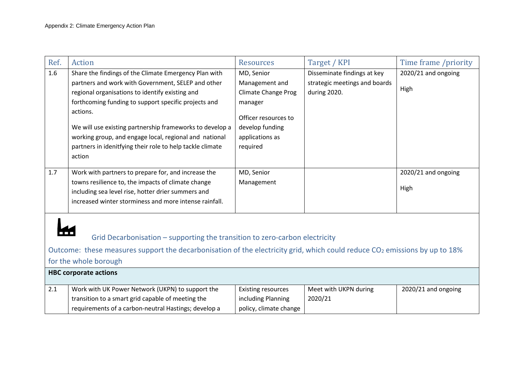| Ref.                  | Action                                                                                                                                 | <b>Resources</b>          | Target / KPI                  | Time frame /priority |  |
|-----------------------|----------------------------------------------------------------------------------------------------------------------------------------|---------------------------|-------------------------------|----------------------|--|
| 1.6                   | Share the findings of the Climate Emergency Plan with                                                                                  | MD, Senior                | Disseminate findings at key   | 2020/21 and ongoing  |  |
|                       | partners and work with Government, SELEP and other                                                                                     | Management and            | strategic meetings and boards |                      |  |
|                       | regional organisations to identify existing and                                                                                        | Climate Change Prog       | during 2020.                  | High                 |  |
|                       | forthcoming funding to support specific projects and                                                                                   | manager                   |                               |                      |  |
|                       | actions.                                                                                                                               | Officer resources to      |                               |                      |  |
|                       |                                                                                                                                        | develop funding           |                               |                      |  |
|                       | We will use existing partnership frameworks to develop a<br>working group, and engage local, regional and national                     | applications as           |                               |                      |  |
|                       | partners in idenitfying their role to help tackle climate                                                                              | required                  |                               |                      |  |
|                       | action                                                                                                                                 |                           |                               |                      |  |
|                       |                                                                                                                                        |                           |                               |                      |  |
| 1.7                   | Work with partners to prepare for, and increase the                                                                                    | MD, Senior                |                               | 2020/21 and ongoing  |  |
|                       | towns resilience to, the impacts of climate change                                                                                     | Management                |                               |                      |  |
|                       | including sea level rise, hotter drier summers and                                                                                     |                           |                               | High                 |  |
|                       | increased winter storminess and more intense rainfall.                                                                                 |                           |                               |                      |  |
|                       |                                                                                                                                        |                           |                               |                      |  |
|                       |                                                                                                                                        |                           |                               |                      |  |
|                       | Grid Decarbonisation – supporting the transition to zero-carbon electricity                                                            |                           |                               |                      |  |
|                       |                                                                                                                                        |                           |                               |                      |  |
|                       | Outcome: these measures support the decarbonisation of the electricity grid, which could reduce CO <sub>2</sub> emissions by up to 18% |                           |                               |                      |  |
| for the whole borough |                                                                                                                                        |                           |                               |                      |  |
|                       | <b>HBC corporate actions</b>                                                                                                           |                           |                               |                      |  |
| 2.1                   | Work with UK Power Network (UKPN) to support the                                                                                       | <b>Existing resources</b> | Meet with UKPN during         | 2020/21 and ongoing  |  |
|                       | transition to a smart grid capable of meeting the                                                                                      | including Planning        | 2020/21                       |                      |  |
|                       | requirements of a carbon-neutral Hastings; develop a                                                                                   | policy, climate change    |                               |                      |  |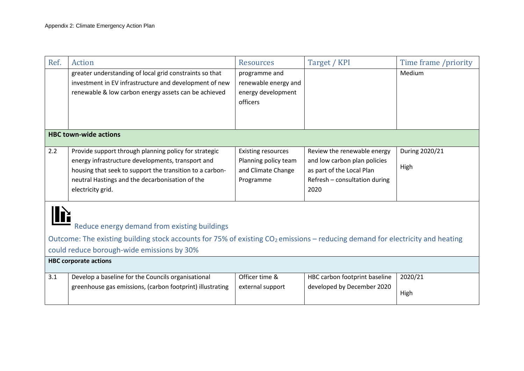| Ref. | <b>Action</b>                                                                                                                                                                             | <b>Resources</b>          | Target / KPI                  | Time frame /priority |
|------|-------------------------------------------------------------------------------------------------------------------------------------------------------------------------------------------|---------------------------|-------------------------------|----------------------|
|      | greater understanding of local grid constraints so that                                                                                                                                   | programme and             |                               | Medium               |
|      | investment in EV infrastructure and development of new                                                                                                                                    | renewable energy and      |                               |                      |
|      | renewable & low carbon energy assets can be achieved                                                                                                                                      | energy development        |                               |                      |
|      |                                                                                                                                                                                           | officers                  |                               |                      |
|      |                                                                                                                                                                                           |                           |                               |                      |
|      |                                                                                                                                                                                           |                           |                               |                      |
|      | <b>HBC town-wide actions</b>                                                                                                                                                              |                           |                               |                      |
| 2.2  | Provide support through planning policy for strategic                                                                                                                                     | <b>Existing resources</b> | Review the renewable energy   | During 2020/21       |
|      | energy infrastructure developments, transport and                                                                                                                                         | Planning policy team      | and low carbon plan policies  |                      |
|      | housing that seek to support the transition to a carbon-                                                                                                                                  | and Climate Change        | as part of the Local Plan     | High                 |
|      | neutral Hastings and the decarbonisation of the                                                                                                                                           | Programme                 | Refresh - consultation during |                      |
|      | electricity grid.                                                                                                                                                                         |                           | 2020                          |                      |
|      | Reduce energy demand from existing buildings<br>Outcome: The existing building stock accounts for 75% of existing CO <sub>2</sub> emissions – reducing demand for electricity and heating |                           |                               |                      |
|      |                                                                                                                                                                                           |                           |                               |                      |
|      | could reduce borough-wide emissions by 30%                                                                                                                                                |                           |                               |                      |
|      | <b>HBC corporate actions</b>                                                                                                                                                              |                           |                               |                      |
| 3.1  | Develop a baseline for the Councils organisational                                                                                                                                        | Officer time &            | HBC carbon footprint baseline | 2020/21              |
|      | greenhouse gas emissions, (carbon footprint) illustrating                                                                                                                                 | external support          | developed by December 2020    |                      |
|      |                                                                                                                                                                                           |                           |                               | High                 |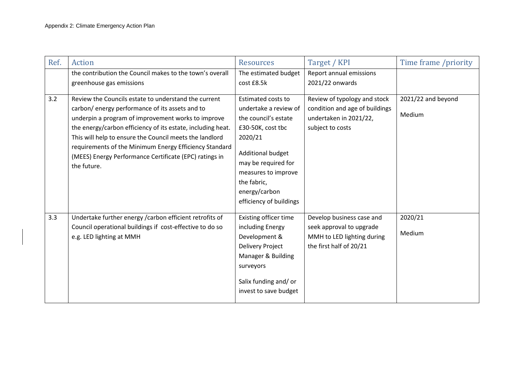| Ref. | <b>Action</b>                                                                                                                                                                                                                                                                                                                                                                                                              | <b>Resources</b>                                                                                                                                                                                                                                | Target / KPI                                                                                                   | Time frame /priority         |
|------|----------------------------------------------------------------------------------------------------------------------------------------------------------------------------------------------------------------------------------------------------------------------------------------------------------------------------------------------------------------------------------------------------------------------------|-------------------------------------------------------------------------------------------------------------------------------------------------------------------------------------------------------------------------------------------------|----------------------------------------------------------------------------------------------------------------|------------------------------|
|      | the contribution the Council makes to the town's overall<br>greenhouse gas emissions                                                                                                                                                                                                                                                                                                                                       | The estimated budget<br>cost £8.5k                                                                                                                                                                                                              | Report annual emissions<br>2021/22 onwards                                                                     |                              |
| 3.2  | Review the Councils estate to understand the current<br>carbon/ energy performance of its assets and to<br>underpin a program of improvement works to improve<br>the energy/carbon efficiency of its estate, including heat.<br>This will help to ensure the Council meets the landlord<br>requirements of the Minimum Energy Efficiency Standard<br>(MEES) Energy Performance Certificate (EPC) ratings in<br>the future. | <b>Estimated costs to</b><br>undertake a review of<br>the council's estate<br>£30-50K, cost tbc<br>2020/21<br><b>Additional budget</b><br>may be required for<br>measures to improve<br>the fabric,<br>energy/carbon<br>efficiency of buildings | Review of typology and stock<br>condition and age of buildings<br>undertaken in 2021/22,<br>subject to costs   | 2021/22 and beyond<br>Medium |
| 3.3  | Undertake further energy / carbon efficient retrofits of<br>Council operational buildings if cost-effective to do so<br>e.g. LED lighting at MMH                                                                                                                                                                                                                                                                           | <b>Existing officer time</b><br>including Energy<br>Development &<br>Delivery Project<br>Manager & Building<br>surveyors<br>Salix funding and/or<br>invest to save budget                                                                       | Develop business case and<br>seek approval to upgrade<br>MMH to LED lighting during<br>the first half of 20/21 | 2020/21<br>Medium            |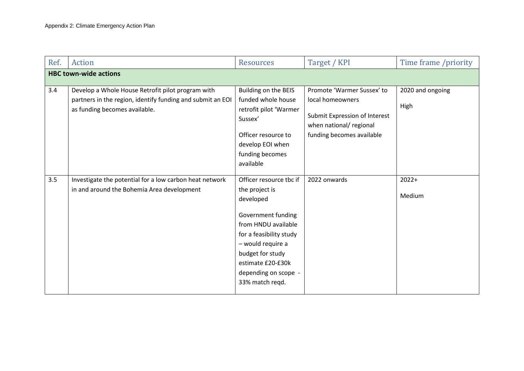| Ref. | <b>Action</b>                                                                                                                                    | <b>Resources</b>                                                                                                                                                                                                                        | Target / KPI                                                                                                                            | Time frame /priority     |  |  |
|------|--------------------------------------------------------------------------------------------------------------------------------------------------|-----------------------------------------------------------------------------------------------------------------------------------------------------------------------------------------------------------------------------------------|-----------------------------------------------------------------------------------------------------------------------------------------|--------------------------|--|--|
|      | <b>HBC town-wide actions</b>                                                                                                                     |                                                                                                                                                                                                                                         |                                                                                                                                         |                          |  |  |
| 3.4  | Develop a Whole House Retrofit pilot program with<br>partners in the region, identify funding and submit an EOI<br>as funding becomes available. | Building on the BEIS<br>funded whole house<br>retrofit pilot 'Warmer<br>Sussex'<br>Officer resource to<br>develop EOI when<br>funding becomes<br>available                                                                              | Promote 'Warmer Sussex' to<br>local homeowners<br>Submit Expression of Interest<br>when national/ regional<br>funding becomes available | 2020 and ongoing<br>High |  |  |
| 3.5  | Investigate the potential for a low carbon heat network<br>in and around the Bohemia Area development                                            | Officer resource tbc if<br>the project is<br>developed<br>Government funding<br>from HNDU available<br>for a feasibility study<br>- would require a<br>budget for study<br>estimate £20-£30k<br>depending on scope -<br>33% match reqd. | 2022 onwards                                                                                                                            | $2022+$<br>Medium        |  |  |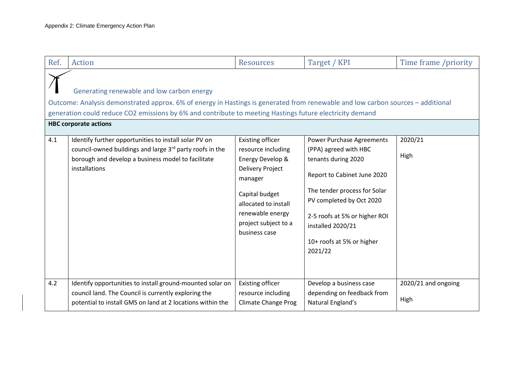| Ref. | <b>Action</b>                                                                                                                                                                                                                                                                                                             | <b>Resources</b>                                                                                                                                                                                        | Target / KPI                                                                                                                                                                                                                                                              | Time frame /priority        |  |  |
|------|---------------------------------------------------------------------------------------------------------------------------------------------------------------------------------------------------------------------------------------------------------------------------------------------------------------------------|---------------------------------------------------------------------------------------------------------------------------------------------------------------------------------------------------------|---------------------------------------------------------------------------------------------------------------------------------------------------------------------------------------------------------------------------------------------------------------------------|-----------------------------|--|--|
|      | Generating renewable and low carbon energy<br>Outcome: Analysis demonstrated approx. 6% of energy in Hastings is generated from renewable and low carbon sources - additional<br>generation could reduce CO2 emissions by 6% and contribute to meeting Hastings future electricity demand<br><b>HBC corporate actions</b> |                                                                                                                                                                                                         |                                                                                                                                                                                                                                                                           |                             |  |  |
| 4.1  | Identify further opportunities to install solar PV on<br>council-owned buildings and large 3rd party roofs in the<br>borough and develop a business model to facilitate<br>installations                                                                                                                                  | Existing officer<br>resource including<br>Energy Develop &<br><b>Delivery Project</b><br>manager<br>Capital budget<br>allocated to install<br>renewable energy<br>project subject to a<br>business case | <b>Power Purchase Agreements</b><br>(PPA) agreed with HBC<br>tenants during 2020<br>Report to Cabinet June 2020<br>The tender process for Solar<br>PV completed by Oct 2020<br>2-5 roofs at 5% or higher ROI<br>installed 2020/21<br>10+ roofs at 5% or higher<br>2021/22 | 2020/21<br>High             |  |  |
| 4.2  | Identify opportunities to install ground-mounted solar on<br>council land. The Council is currently exploring the<br>potential to install GMS on land at 2 locations within the                                                                                                                                           | Existing officer<br>resource including<br><b>Climate Change Prog</b>                                                                                                                                    | Develop a business case<br>depending on feedback from<br>Natural England's                                                                                                                                                                                                | 2020/21 and ongoing<br>High |  |  |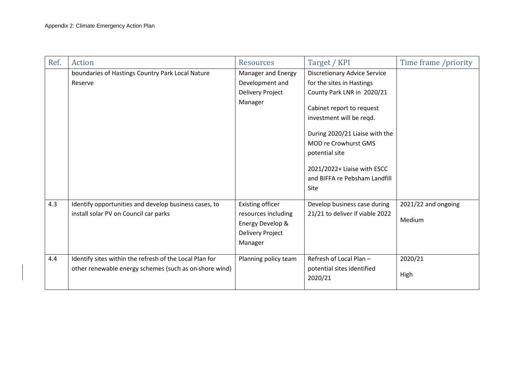| Ref. | Action                                                  | <b>Resources</b>     | Target / KPI                        | Time frame /priority |
|------|---------------------------------------------------------|----------------------|-------------------------------------|----------------------|
|      | boundaries of Hastings Country Park Local Nature        | Manager and Energy   | <b>Discretionary Advice Service</b> |                      |
|      | Reserve                                                 | Development and      | for the sites in Hastings           |                      |
|      |                                                         | Delivery Project     | County Park LNR in 2020/21          |                      |
|      |                                                         | Manager              |                                     |                      |
|      |                                                         |                      | Cabinet report to request           |                      |
|      |                                                         |                      | investment will be reqd.            |                      |
|      |                                                         |                      | During 2020/21 Liaise with the      |                      |
|      |                                                         |                      | <b>MOD re Crowhurst GMS</b>         |                      |
|      |                                                         |                      | potential site                      |                      |
|      |                                                         |                      | 2021/2022+ Liaise with ESCC         |                      |
|      |                                                         |                      | and BIFFA re Pebsham Landfill       |                      |
|      |                                                         |                      | Site                                |                      |
|      |                                                         |                      |                                     |                      |
| 4.3  | Identify opportunities and develop business cases, to   | Existing officer     | Develop business case during        | 2021/22 and ongoing  |
|      | install solar PV on Council car parks                   | resources including  | 21/21 to deliver if viable 2022     |                      |
|      |                                                         | Energy Develop &     |                                     | Medium               |
|      |                                                         | Delivery Project     |                                     |                      |
|      |                                                         | Manager              |                                     |                      |
| 4.4  | Identify sites within the refresh of the Local Plan for | Planning policy team | Refresh of Local Plan -             | 2020/21              |
|      | other renewable energy schemes (such as on-shore wind)  |                      | potential sites identified          |                      |
|      |                                                         |                      | 2020/21                             | High                 |
|      |                                                         |                      |                                     |                      |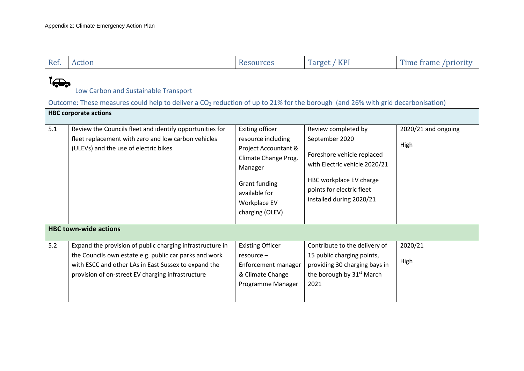| Ref. | <b>Action</b>                                                                                                                                                                                                                    | <b>Resources</b>                                                                                                                                          | Target / KPI                                                                                                                                                      | Time frame /priority |  |  |
|------|----------------------------------------------------------------------------------------------------------------------------------------------------------------------------------------------------------------------------------|-----------------------------------------------------------------------------------------------------------------------------------------------------------|-------------------------------------------------------------------------------------------------------------------------------------------------------------------|----------------------|--|--|
|      | Low Carbon and Sustainable Transport<br>Outcome: These measures could help to deliver a CO <sub>2</sub> reduction of up to 21% for the borough (and 26% with grid decarbonisation)<br><b>HBC corporate actions</b>               |                                                                                                                                                           |                                                                                                                                                                   |                      |  |  |
| 5.1  | Review the Councils fleet and identify opportunities for                                                                                                                                                                         | Exiting officer                                                                                                                                           | Review completed by                                                                                                                                               | 2020/21 and ongoing  |  |  |
|      | fleet replacement with zero and low carbon vehicles<br>(ULEVs) and the use of electric bikes                                                                                                                                     | resource including<br>Project Accountant &<br>Climate Change Prog.<br>Manager<br><b>Grant funding</b><br>available for<br>Workplace EV<br>charging (OLEV) | September 2020<br>Foreshore vehicle replaced<br>with Electric vehicle 2020/21<br>HBC workplace EV charge<br>points for electric fleet<br>installed during 2020/21 | High                 |  |  |
|      | <b>HBC town-wide actions</b>                                                                                                                                                                                                     |                                                                                                                                                           |                                                                                                                                                                   |                      |  |  |
| 5.2  | Expand the provision of public charging infrastructure in<br>the Councils own estate e.g. public car parks and work<br>with ESCC and other LAs in East Sussex to expand the<br>provision of on-street EV charging infrastructure | <b>Existing Officer</b><br>resource -<br>Enforcement manager<br>& Climate Change<br>Programme Manager                                                     | Contribute to the delivery of<br>15 public charging points,<br>providing 30 charging bays in<br>the borough by 31 <sup>st</sup> March<br>2021                     | 2020/21<br>High      |  |  |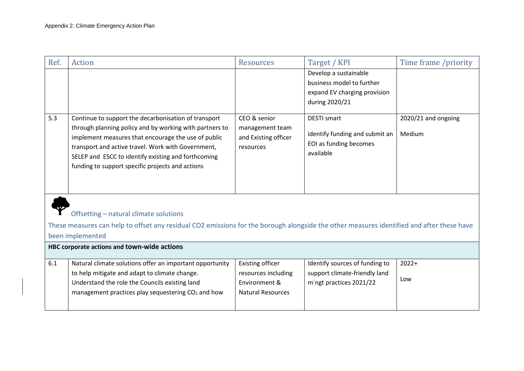| Ref. | Action                                                                                                                                                                                                                                                                                                                                  | <b>Resources</b>                                                     | Target / KPI                                                                                         | Time frame /priority          |  |  |
|------|-----------------------------------------------------------------------------------------------------------------------------------------------------------------------------------------------------------------------------------------------------------------------------------------------------------------------------------------|----------------------------------------------------------------------|------------------------------------------------------------------------------------------------------|-------------------------------|--|--|
|      |                                                                                                                                                                                                                                                                                                                                         |                                                                      | Develop a sustainable<br>business model to further<br>expand EV charging provision<br>during 2020/21 |                               |  |  |
| 5.3  | Continue to support the decarbonisation of transport<br>through planning policy and by working with partners to<br>implement measures that encourage the use of public<br>transport and active travel. Work with Government,<br>SELEP and ESCC to identify existing and forthcoming<br>funding to support specific projects and actions | CEO & senior<br>management team<br>and Existing officer<br>resources | <b>DESTI smart</b><br>identify funding and submit an<br>EOI as funding becomes<br>available          | 2020/21 and ongoing<br>Medium |  |  |
|      | Offsetting - natural climate solutions<br>These measures can help to offset any residual CO2 emissions for the borough alongside the other measures identified and after these have<br>been implemented                                                                                                                                 |                                                                      |                                                                                                      |                               |  |  |

| HBC corporate actions and town-wide actions |                                                                                                                                                                                                                               |                                                                                             |                                                                                            |                |  |
|---------------------------------------------|-------------------------------------------------------------------------------------------------------------------------------------------------------------------------------------------------------------------------------|---------------------------------------------------------------------------------------------|--------------------------------------------------------------------------------------------|----------------|--|
| 6.1                                         | Natural climate solutions offer an important opportunity<br>to help mitigate and adapt to climate change.<br>Understand the role the Councils existing land<br>management practices play sequestering CO <sub>2</sub> and how | <b>Existing officer</b><br>resources including<br>Environment &<br><b>Natural Resources</b> | Identify sources of funding to<br>support climate-friendly land<br>m'ngt practices 2021/22 | $2022+$<br>Low |  |